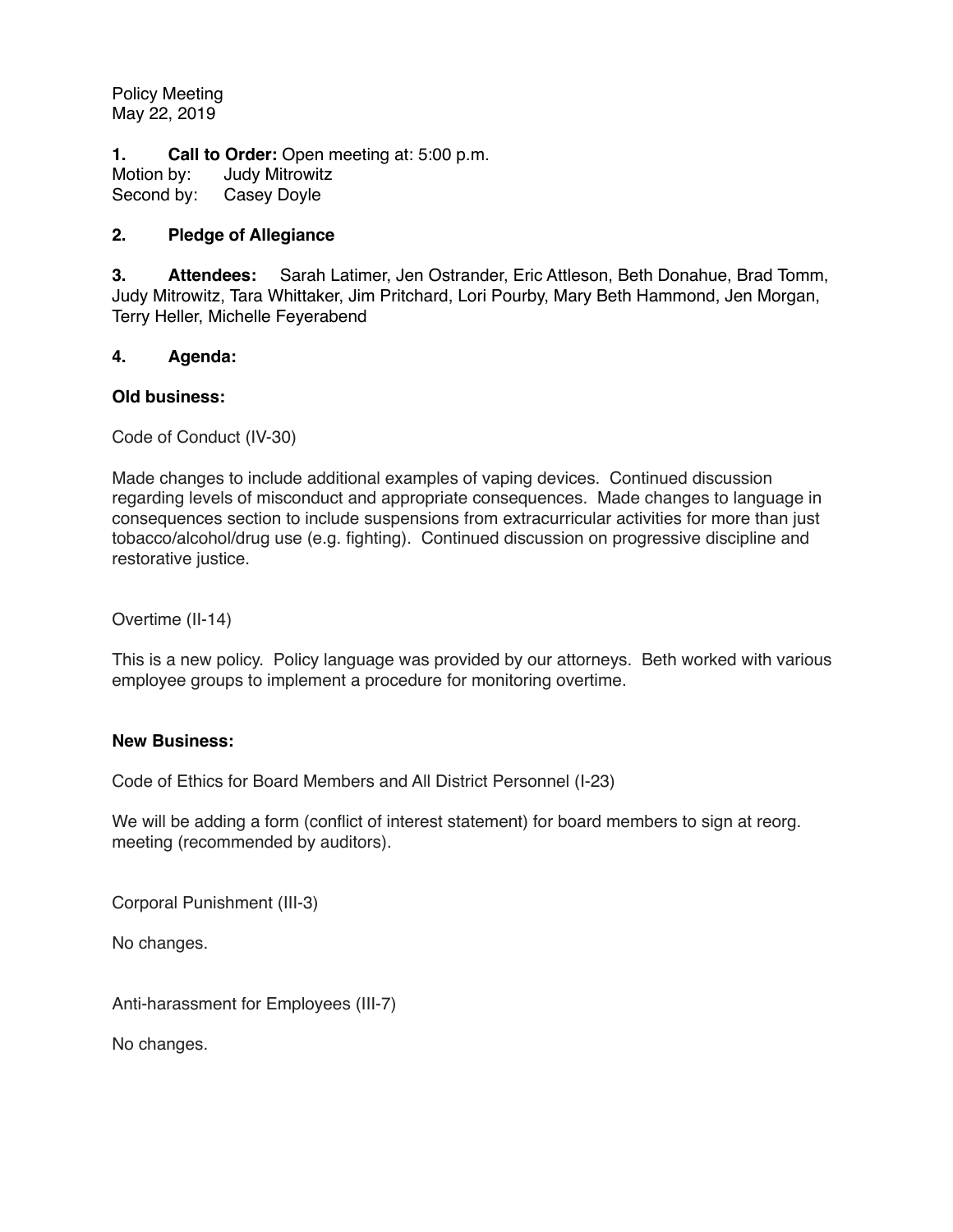Policy Meeting May 22, 2019

**1. Call to Order:** Open meeting at: 5:00 p.m.

Motion by: Judy Mitrowitz Second by: Casey Doyle

## **2. Pledge of Allegiance**

**3. Attendees:** Sarah Latimer, Jen Ostrander, Eric Attleson, Beth Donahue, Brad Tomm, Judy Mitrowitz, Tara Whittaker, Jim Pritchard, Lori Pourby, Mary Beth Hammond, Jen Morgan, Terry Heller, Michelle Feyerabend

## **4. Agenda:**

#### **Old business:**

Code of Conduct (IV-30)

Made changes to include additional examples of vaping devices. Continued discussion regarding levels of misconduct and appropriate consequences. Made changes to language in consequences section to include suspensions from extracurricular activities for more than just tobacco/alcohol/drug use (e.g. fighting). Continued discussion on progressive discipline and restorative justice.

Overtime (II-14)

This is a new policy. Policy language was provided by our attorneys. Beth worked with various employee groups to implement a procedure for monitoring overtime.

## **New Business:**

Code of Ethics for Board Members and All District Personnel (I-23)

We will be adding a form (conflict of interest statement) for board members to sign at reorg. meeting (recommended by auditors).

Corporal Punishment (III-3)

No changes.

Anti-harassment for Employees (III-7)

No changes.